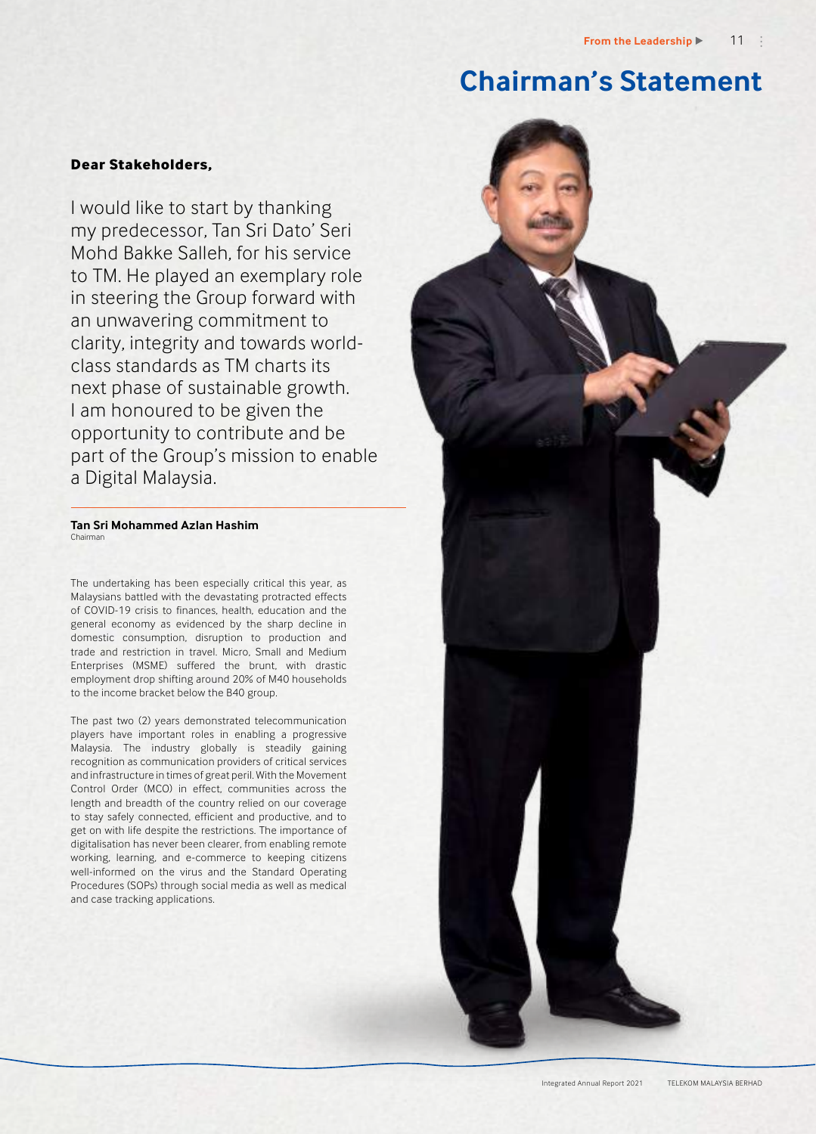# **Chairman's Statement**

# **Dear Stakeholders,**

I would like to start by thanking my predecessor, Tan Sri Dato' Seri Mohd Bakke Salleh, for his service to TM. He played an exemplary role in steering the Group forward with an unwavering commitment to clarity, integrity and towards worldclass standards as TM charts its next phase of sustainable growth. I am honoured to be given the opportunity to contribute and be part of the Group's mission to enable a Digital Malaysia.

#### **Tan Sri Mohammed Azlan Hashim** Chairman

The undertaking has been especially critical this year, as Malaysians battled with the devastating protracted effects of COVID-19 crisis to finances, health, education and the general economy as evidenced by the sharp decline in domestic consumption, disruption to production and trade and restriction in travel. Micro, Small and Medium Enterprises (MSME) suffered the brunt, with drastic employment drop shifting around 20% of M40 households to the income bracket below the B40 group.

The past two (2) years demonstrated telecommunication players have important roles in enabling a progressive Malaysia. The industry globally is steadily gaining recognition as communication providers of critical services and infrastructure in times of great peril. With the Movement Control Order (MCO) in effect, communities across the length and breadth of the country relied on our coverage to stay safely connected, efficient and productive, and to get on with life despite the restrictions. The importance of digitalisation has never been clearer, from enabling remote working, learning, and e-commerce to keeping citizens well-informed on the virus and the Standard Operating Procedures (SOPs) through social media as well as medical and case tracking applications.

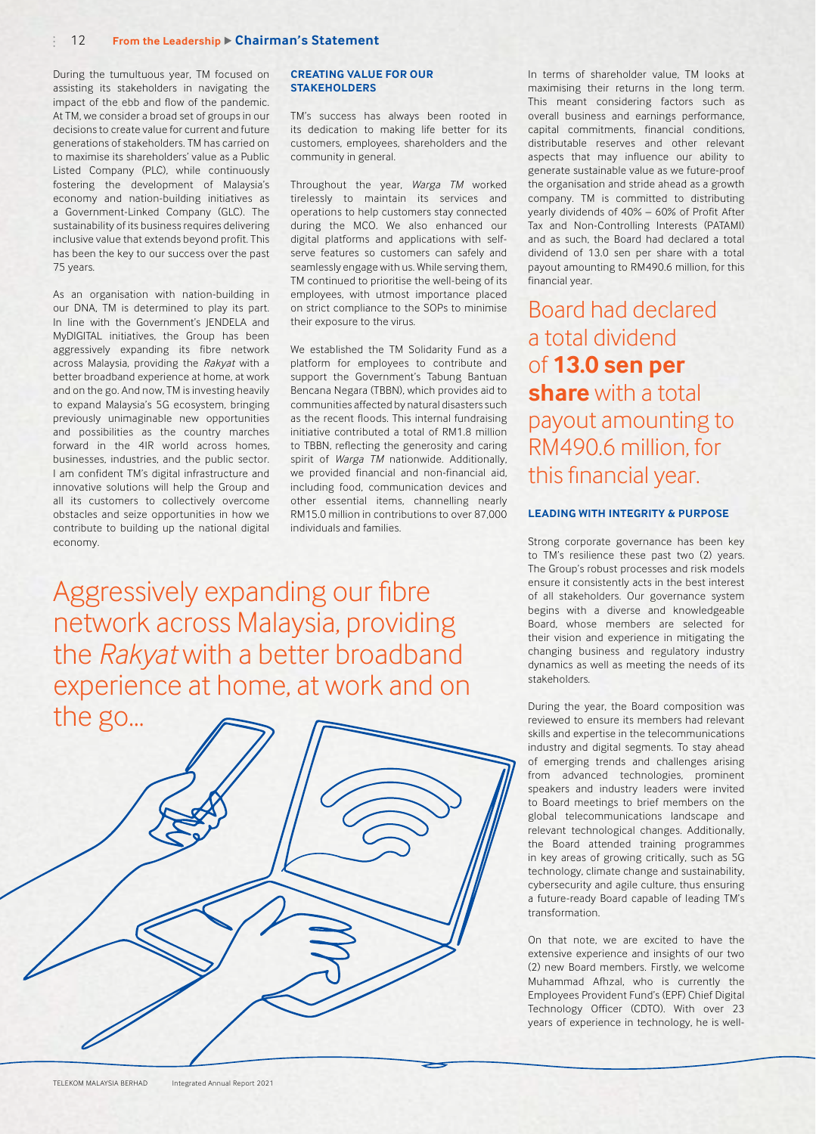#### 12 **From the Leadership Chairman's Statement**

During the tumultuous year, TM focused on assisting its stakeholders in navigating the impact of the ebb and flow of the pandemic. At TM, we consider a broad set of groups in our decisions to create value for current and future generations of stakeholders. TM has carried on to maximise its shareholders' value as a Public Listed Company (PLC), while continuously fostering the development of Malaysia's economy and nation-building initiatives as a Government-Linked Company (GLC). The sustainability of its business requires delivering inclusive value that extends beyond profit. This has been the key to our success over the past 75 years.

As an organisation with nation-building in our DNA, TM is determined to play its part. In line with the Government's JENDELA and MyDIGITAL initiatives, the Group has been aggressively expanding its fibre network across Malaysia, providing the *Rakyat* with a better broadband experience at home, at work and on the go. And now, TM is investing heavily to expand Malaysia's 5G ecosystem, bringing previously unimaginable new opportunities and possibilities as the country marches forward in the 4IR world across homes, businesses, industries, and the public sector. I am confident TM's digital infrastructure and innovative solutions will help the Group and all its customers to collectively overcome obstacles and seize opportunities in how we contribute to building up the national digital economy.

### **CREATING VALUE FOR OUR STAKEHOLDERS**

TM's success has always been rooted in its dedication to making life better for its customers, employees, shareholders and the community in general.

Throughout the year, *Warga TM* worked tirelessly to maintain its services and operations to help customers stay connected during the MCO. We also enhanced our digital platforms and applications with selfserve features so customers can safely and seamlessly engage with us. While serving them, TM continued to prioritise the well-being of its employees, with utmost importance placed on strict compliance to the SOPs to minimise their exposure to the virus.

We established the TM Solidarity Fund as a platform for employees to contribute and support the Government's Tabung Bantuan Bencana Negara (TBBN), which provides aid to communities affected by natural disasters such as the recent floods. This internal fundraising initiative contributed a total of RM1.8 million to TBBN, reflecting the generosity and caring spirit of *Warga TM* nationwide. Additionally, we provided financial and non-financial aid, including food, communication devices and other essential items, channelling nearly RM15.0 million in contributions to over 87,000 individuals and families.

Aggressively expanding our fibre network across Malaysia, providing the *Rakyat* with a better broadband experience at home, at work and on the  $g_0$ 

| 1105<br>$\cdots$ |  |  |
|------------------|--|--|
|                  |  |  |
|                  |  |  |
|                  |  |  |
|                  |  |  |
|                  |  |  |
|                  |  |  |

In terms of shareholder value, TM looks at maximising their returns in the long term. This meant considering factors such as overall business and earnings performance, capital commitments, financial conditions, distributable reserves and other relevant aspects that may influence our ability to generate sustainable value as we future-proof the organisation and stride ahead as a growth company. TM is committed to distributing yearly dividends of 40% – 60% of Profit After Tax and Non-Controlling Interests (PATAMI) and as such, the Board had declared a total dividend of 13.0 sen per share with a total payout amounting to RM490.6 million, for this financial year.

Board had declared a total dividend of **13.0 sen per share** with a total payout amounting to RM490.6 million, for this financial year.

## **LEADING WITH INTEGRITY & PURPOSE**

Strong corporate governance has been key to TM's resilience these past two (2) years. The Group's robust processes and risk models ensure it consistently acts in the best interest of all stakeholders. Our governance system begins with a diverse and knowledgeable Board, whose members are selected for their vision and experience in mitigating the changing business and regulatory industry dynamics as well as meeting the needs of its stakeholders.

During the year, the Board composition was reviewed to ensure its members had relevant skills and expertise in the telecommunications industry and digital segments. To stay ahead of emerging trends and challenges arising from advanced technologies, prominent speakers and industry leaders were invited to Board meetings to brief members on the global telecommunications landscape and relevant technological changes. Additionally, the Board attended training programmes in key areas of growing critically, such as 5G technology, climate change and sustainability, cybersecurity and agile culture, thus ensuring a future-ready Board capable of leading TM's transformation.

On that note, we are excited to have the extensive experience and insights of our two (2) new Board members. Firstly, we welcome Muhammad Afhzal, who is currently the Employees Provident Fund's (EPF) Chief Digital Technology Officer (CDTO). With over 23 years of experience in technology, he is well-